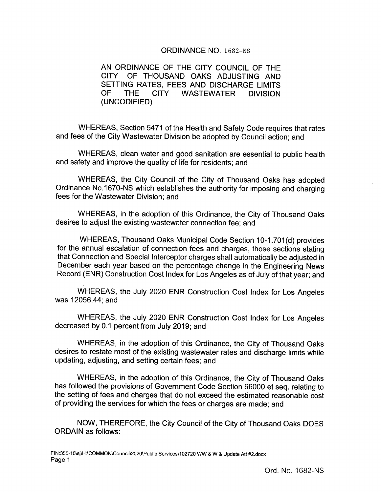### ORDINANCE NO. 1682-NS

AN ORDINANCE OF THE CITY COUNCIL OF THE CITY OF THOUSAND OAKS ADJUSTING AND SETTING RATES, FEES AND DISCHARGE LIMITS OF THE CITY WASTEWATER DIVISION UNCODIFIED)

WHEREAS, Section 5471 of the Health and Safety Code requires that rates and fees of the City Wastewater Division be adopted by Council action; and

WHEREAS, clean water and good sanitation are essential to public health and safety and improve the quality of life for residents; and

WHEREAS, the City Council of the City of Thousand Oaks has adopted Ordinance No. 1670- NS which establishes the authority for imposing and charging fees for the Wastewater Division; and

WHEREAS, in the adoption of this Ordinance, the City of Thousand Oaks desires to adjust the existing wastewater connection fee; and

WHEREAS, Thousand Oaks Municipal Code Section 10-1.701(d) provides for the annual escalation of connection fees and charges, those sections stating that Connection and Special Interceptor charges shall automatically be adjusted in December each year based on the percentage change in the Engineering News Record (ENR) Construction Cost Index for Los Angeles as of July of that year; and

WHEREAS, the July 2020 ENR Construction Cost Index for Los Angeles was 12056.44; and

WHEREAS, the July 2020 ENR Construction Cost Index for Los Angeles decreased by 0.1 percent from July 2019; and

WHEREAS, in the adoption of this Ordinance, the City of Thousand Oaks desires to restate most of the existing wastewater rates and discharge limits while updating, adjusting, and setting certain fees; and

WHEREAS, in the adoption of this Ordinance, the City of Thousand Oaks has followed the provisions of Government Code Section 66000 et seq. relating to the setting of fees and charges that do not exceed the estimated reasonable cost of providing the services for which the fees or charges are made; and

NOW, THEREFORE, the City Council of the City of Thousand Oaks DOES ORDAIN as follows: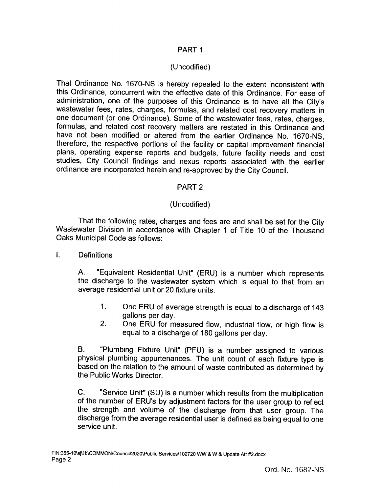## PART <sup>1</sup>

# Uncodified)

That Ordinance No. 1670-NS is hereby repealed to the extent inconsistent with this Ordinance, concurrent with the effective date of this Ordinance. For ease of administration, one of the purposes of this Ordinance is to have all the City's wastewater fees, rates, charges, formulas, and related cost recovery matters in one document (or one Ordinance). Some of the wastewater fees, rates, charges, formulas, and related cost recovery matters are restated in this Ordinance and have not been modified or altered from the earlier Ordinance No. 1670-NS, therefore, the respective portions of the facility or capital improvement financial plans, operating expense reports and budgets, future facility needs and cost studies, City Council findings and nexus reports associated with the earlier ordinance are incorporated herein and re- approved by the City Council.

## PART 2

# Uncodified)

That the following rates, charges and fees are and shall be set for the City Wastewater Division in accordance with Chapter 1 of Title 10 of the Thousand Oaks Municipal Code as follows:

## I. Definitions

A. " Equivalent Residential Unit" ( ERU) is <sup>a</sup> number which represents the discharge to the wastewater system which is equal to that from an average residential unit or 20 fixture units.

- 1. One ERU of average strength is equal to a discharge of 143 gallons per day.
- 2. One ERU for measured flow, industrial flow, or high flow is equal to a discharge of 180 gallons per day.

B. " Plumbing Fixture Unit" (PFU) is a number assigned to various physical plumbing appurtenances. The unit count of each fixture type is based on the relation to the amount of waste contributed as determined by the Public Works Director.

C. " Service Unit" (SU) is a number which results from the multiplication of the number of ERU's by adjustment factors for the user group to reflect the strength and volume of the discharge from that user group. The discharge from the average residential user is defined as being equal to one service unit.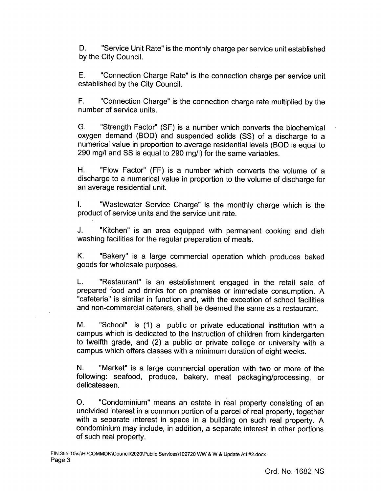D. " Service Unit Rate" is the monthly charge per service unit established by the City Council.

E. " Connection Charge Rate" is the connection charge per service unit established by the City Council.

F. " Connection Charge" is the connection charge rate multiplied by the number of service units.

G. " Strength Factor" ( SF) is a number which converts the biochemical oxygen demand (BOD) and suspended solids (SS) of a discharge to a numerical value in proportion to average residential levels ( BOD is equal to 290 mg/l and SS is equal to 290 mg/l) for the same variables.

H. " Flow Factor" (FF) is a number which converts the volume of a discharge to a numerical value in proportion to the volume of discharge for an average residential unit.

I. Wastewater Service Charge" is the monthly charge which is the product of service units and the service unit rate.

J. "Kitchen" is an area equipped with permanent cooking and dish washing facilities for the regular preparation of meals.

K. " Bakery" is a large commercial operation which produces baked goods for wholesale purposes.

L. " Restaurant" is an establishment engaged in the retail sale of prepared food and drinks for on premises or immediate consumption. A cafeteria" is similar in function and, with the exception of school facilities and non- commercial caterers, shall be deemed the same as a restaurant.

M. "School" is (1) a public or private educational institution with a campus which is dedicated to the instruction of children from kindergarten to twelfth grade, and (2) a public or private college or university with a campus which offers classes with a minimum duration of eight weeks.

N. " Market" is a large commercial operation with two or more of the following: seafood, produce, bakery, meat packaging/processing, or delicatessen.

O. " Condominium" means an estate in real property consisting of an undivided interest in a common portion of a parcel of real property, together with a separate interest in space in a building on such real property. A condominium may include, in addition, a separate interest in other portions of such real property.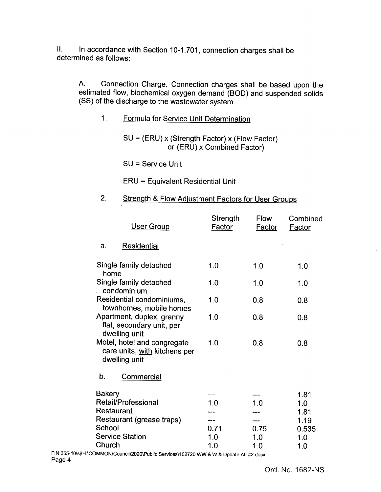II. In accordance with Section 10-1.701, connection charges shall be determined as follows:

A. Connection Charge. Connection charges shall be based upon the estimated flow, biochemical oxygen demand (BOD) and suspended solids SS) of the discharge to the wastewater system.

1. Formula for Service Unit Determination

 $SU = (ERU) \times (Strength Factor) \times (Flow Factor)$ or (ERU) x Combined Factor)

SU = Service Unit

ERU = Equivalent Residential Unit

## 2. Strength & Flow Adjustment Factors for User Groups

| User Group                                                                    | Strength<br><u>Factor</u> | <b>Flow</b><br><b>Factor</b> | Combined<br><b>Factor</b> |
|-------------------------------------------------------------------------------|---------------------------|------------------------------|---------------------------|
| <b>Residential</b><br>a.                                                      |                           |                              |                           |
| Single family detached<br>home                                                | 1.0                       | 1.0                          | 1.0                       |
| Single family detached<br>condominium                                         | 1.0                       | 1.0                          | 1.0                       |
| Residential condominiums,<br>townhomes, mobile homes                          | 1.0                       | 0.8                          | 0.8                       |
| Apartment, duplex, granny<br>flat, secondary unit, per<br>dwelling unit       | 1.0                       | 0.8                          | 0.8                       |
| Motel, hotel and congregate<br>care units, with kitchens per<br>dwelling unit | 1.0                       | 0.8                          | 0.8                       |
| b.<br>Commercial                                                              |                           |                              |                           |
| <b>Bakery</b>                                                                 |                           |                              | 1.81                      |
| <b>Retail/Professional</b>                                                    | 1.0                       | 1.0                          | 1.0                       |
| Restaurant                                                                    |                           |                              | 1.81                      |
| Restaurant (grease traps)                                                     |                           |                              | 1.19                      |
| School                                                                        | 0.71                      | 0.75                         | 0.535                     |
| <b>Service Station</b>                                                        | 1.0                       | 1.0                          | 1.0                       |
| Church                                                                        | 1.0                       | 1.0                          | 1.0                       |

FIN: 355-10\ sj\H:\ COMMON\Council\2020\Public Services\ 102720 WW & W & Update Att # 2.docx Page 4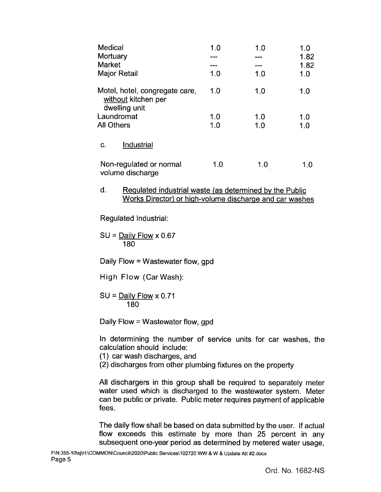| Medical<br>Mortuary<br><b>Market</b><br><b>Major Retail</b>            | 1.0<br>1.0 | 1.0<br>1.0 | 1.0<br>1.82<br>1.82<br>1.0 |
|------------------------------------------------------------------------|------------|------------|----------------------------|
| Motel, hotel, congregate care,<br>without kitchen per<br>dwelling unit | 1.0        | 1.0        | 1.0                        |
| Laundromat                                                             | 1.0        | 1.0        | 1.0                        |
| <b>All Others</b>                                                      | 1.0        | 1.0        | 1.0                        |
| Industrial<br>C.                                                       |            |            |                            |
| Non-regulated or normal<br>volume discharge                            | 1.0        | 1.0        | 1.0                        |

### d. Regulated industrial waste (as determined by the Public Works Director) or high-volume discharge and car washes

Regulated Industrial:

 $SU =$  Daily Flow x 0.67 180

Daily Flow = Wastewater flow, gpd

High Flow (Car Wash):

 $SU =$  Daily Flow x 0.71 180

Daily Flow = Wastewater flow, gpd

In determining the number of service units for car washes, the calculation should include:

1) car wash discharges, and

2) discharges from other plumbing fixtures on the property

All dischargers in this group shall be required to separately meter water used which is discharged to the wastewater system. Meter can be public or private. Public meter requires payment of applicable fees.

The daily flow shall be based on data submitted by the user. If actual flow exceeds this estimate by more than 25 percent in any subsequent one-year period as determined by metered water usage,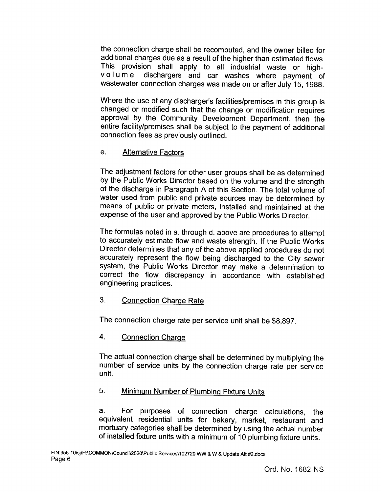the connection charge shall be recomputed, and the owner billed for additional charges due as a result of the higher than estimated flows. This provision shall apply to all industrial waste or high-<br>volume dischargers and car washes where payment of dischargers and car washes where payment of wastewater connection charges was made on or after July 15, 1988.

Where the use of any discharger's facilities/premises in this group is changed or modified such that the change or modification requires approval by the Community Development Department, then the entire facility/premises shall be subject to the payment of additional connection fees as previously outlined.

# e. Alternative Factors

The adjustment factors for other user groups shall be as determined by the Public Works Director based on the volume and the strength of the discharge in Paragraph A of this Section. The total volume of water used from public and private sources may be determined by means of public or private meters, installed and maintained at the expense of the user and approved by the Public Works Director.

The formulas noted in a. through d. above are procedures to attempt to accurately estimate flow and waste strength. If the Public Works Director determines that any of the above applied procedures do not accurately represent the flow being discharged to the City sewer system, the Public Works Director may make a determination to correct the flow discrepancy in accordance with established engineering practices.

# 3. Connection Charge Rate

The connection charge rate per service unit shall be \$8,897.

# 4. Connection Charge

The actual connection charge shall be determined by multiplying the number of service units by the connection charge rate per service unit.

# 5. Minimum Number of Plumbing Fixture Units

a. For purposes of connection charge calculations, the equivalent residential units for bakery, market, restaurant and mortuary categories shall be determined by using the actual number of installed fixture units with a minimum of 10 plumbing fixture units.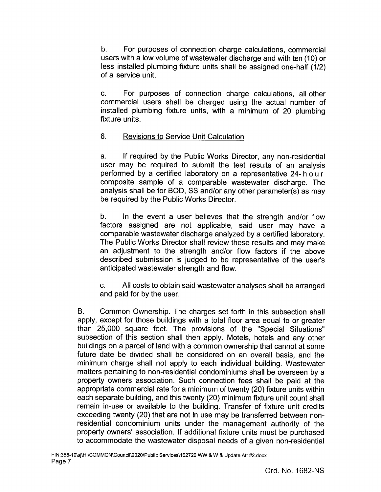b. For purposes of connection charge calculations, commercial users with a low volume of wastewater discharge and with ten ( 10) or less installed plumbing fixture units shall be assigned one-half (1/2) of a service unit.

c. For purposes of connection charge calculations, all other commercial users shall be charged using the actual number of installed plumbing fixture units, with a minimum of 20 plumbing fixture units.

# 6. Revisions to Service Unit Calculation

a. If required by the Public Works Director, any non- residential user may be required to submit the test results of an analysis performed by a certified laboratory on a representative 24-hour composite sample of a comparable wastewater discharge. The analysis shall be for BOD, SS and/or any other parameter(s) as may be required by the Public Works Director.

b. In the event a user believes that the strength and/or flow factors assigned are not applicable, said user may have <sup>a</sup> comparable wastewater discharge analyzed by a certified laboratory. The Public Works Director shall review these results and may make an adjustment to the strength and/or flow factors if the above described submission is judged to be representative of the user's anticipated wastewater strength and flow.

c. All costs to obtain said wastewater analyses shall be arranged and paid for by the user.

B. Common Ownership. The charges set forth in this subsection shall apply, except for those buildings with a total floor area equal to or greater than 25,000 square feet. The provisions of the "Special Situations" subsection of this section shall then apply. Motels, hotels and any other buildings on a parcel of land with a common ownership that cannot at some future date be divided shall be considered on an overall basis, and the minimum charge shall not apply to each individual building. Wastewater matters pertaining to non- residential condominiums shall be overseen by a property owners association. Such connection fees shall be paid at the appropriate commercial rate for a minimum of twenty (20) fixture units within each separate building, and this twenty (20) minimum fixture unit count shall remain in-use or available to the building. Transfer of fixture unit credits exceeding twenty (20) that are not in use may be transferred between nonresidential condominium units under the management authority of the property owners' association. If additional fixture units must be purchased to accommodate the wastewater disposal needs of a given non-residential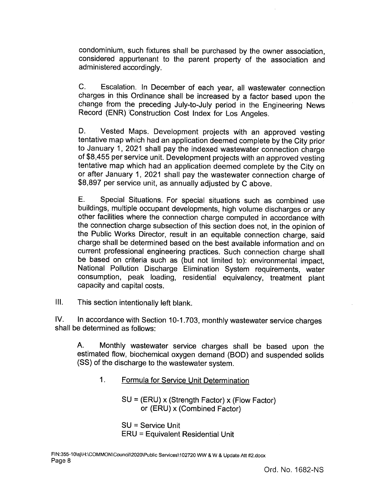condominium, such fixtures shall be purchased by the owner association, considered appurtenant to the parent property of the association and administered accordingly.

C. Escalation. In December of each year, all wastewater connection charges in this Ordinance shall be increased by a factor based upon the change from the preceding July-to-July period in the Engineering News Record (ENR) Construction Cost Index for Los Angeles.

D. Vested Maps. Development projects with an approved vesting tentative map which had an application deemed complete by the City prior to January 1, 2021 shall pay the indexed wastewater connection charge of\$ 8,455 per service unit. Development projects with an approved vesting tentative map which had an application deemed complete by the City on or after January 1, 2021 shall pay the wastewater connection charge of 8, 897 per service unit, as annually adjusted by C above.

E. Special Situations. For special situations such as combined use buildings, multiple occupant developments, high volume discharges or any other facilities where the connection charge computed in accordance with the connection charge subsection of this section does not, in the opinion of the Public Works Director, result in an equitable connection charge, said charge shall be determined based on the best available information and on current professional engineering practices. Such connection charge shall be based on criteria such as (but not limited to): environmental impact, National Pollution Discharge Elimination System requirements, water consumption, peak loading, residential equivalency, treatment plant capacity and capital costs.

III. This section intentionally left blank.

IV. In accordance with Section 10-1.703, monthly wastewater service charges shall be determined as follows:

A. Monthly wastewater service charges shall be based upon the estimated flow, biochemical oxygen demand (BOD) and suspended solids SS) of the discharge to the wastewater system.

1. Formula for Service Unit Determination

 $SU = (ERU)$  x (Strength Factor) x (Flow Factor) or (ERU) x (Combined Factor)

SU = Service Unit ERU = Equivalent Residential Unit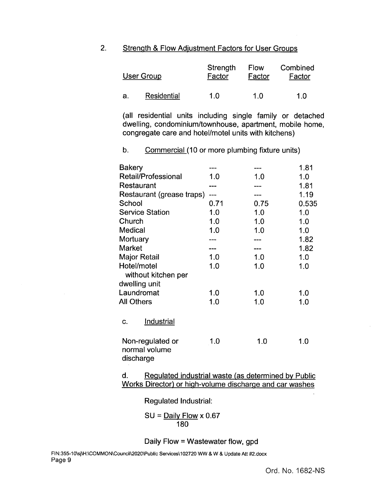### 2. Strength & Flow Adjustment Factors for User Groups

|    | <b>User Group</b> | Strength<br>Factor | Flow<br>Factor | Combined<br>Factor |
|----|-------------------|--------------------|----------------|--------------------|
| а. | Residential       | 1 N                | 1 በ            | 1 በ                |

all residential units including single family or detached dwelling, condominium/townhouse, apartment, mobile home, congregate care and hotel/motel units with kitchens)

## b. Commercial (10 or more plumbing fixture units)

| <b>Bakery</b>              |      |      | 1.81  |
|----------------------------|------|------|-------|
| <b>Retail/Professional</b> | 1.0  | 1.0  | 1.0   |
| Restaurant                 | ---  |      | 1.81  |
| Restaurant (grease traps)  | ---- |      | 1.19  |
| School                     | 0.71 | 0.75 | 0.535 |
| <b>Service Station</b>     | 1.0  | 1.0  | 1.0   |
| Church                     | 1.0  | 1.0  | 1.0   |
| Medical                    | 1.0  | 1.0  | 1.0   |
| Mortuary                   |      |      | 1.82  |
| Market                     |      |      | 1.82  |
| <b>Major Retail</b>        | 1.0  | 1.0  | 1.0   |
| Hotel/motel                | 1.0  | 1.0  | 1.0   |
| without kitchen per        |      |      |       |
| dwelling unit              |      |      |       |
| Laundromat                 | 1.0  | 1.0  | 1.0   |
| <b>All Others</b>          | 1.0  | 1.0  | 1.0   |
|                            |      |      |       |
| <b>Industrial</b><br>C.    |      |      |       |
|                            |      |      |       |
| Non-regulated or           | 1.0  | 1.0  | 1.0   |
| normal volume              |      |      |       |
| discharge                  |      |      |       |
|                            |      |      |       |

d. Regulated industrial waste (as determined by Public Works Director) or high-volume discharge and car washes

Regulated Industrial:

$$
SU = \frac{Daily Flow}{180} \times 0.67
$$

Daily Flow = Wastewater flow, gpd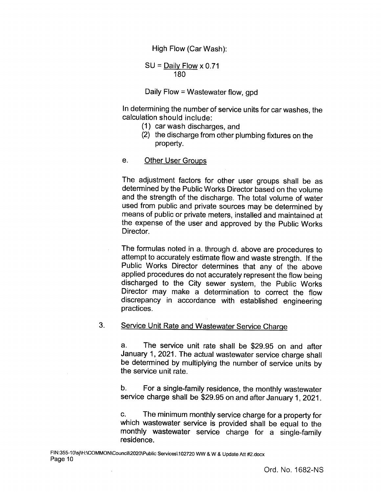High Flow (Car Wash):

 $SU =$  Daily Flow x 0.71 180

Daily Flow = Wastewater flow, gpd

In determining the number of service units for car washes, the calculation should include:

- 1) car wash discharges, and
- 2) the discharge from other plumbing fixtures on the property.
- e. Other User Groups

The adjustment factors for other user groups shall be as determined by the Public Works Director based on the volume and the strength of the discharge. The total volume of water used from public and private sources may be determined by means of public or private meters, installed and maintained at the expense of the user and approved by the Public Works Director.

The formulas noted in a. through d. above are procedures to attempt to accurately estimate flow and waste strength. If the Public Works Director determines that any of the above applied procedures do not accurately represent the flow being discharged to the City sewer system, the Public Works Director may make a determination to correct the flow discrepancy in accordance with established engineering practices.

## 3. Service Unit Rate and Wastewater Service Charge

a. The service unit rate shall be \$29.95 on and after January 1, 2021. The actual wastewater service charge shall be determined by multiplying the number of service units by the service unit rate.

b. For <sup>a</sup> single-family residence, the monthly wastewater service charge shall be \$29.95 on and after January 1, 2021.

c. The minimum monthly service charge for <sup>a</sup> property for which wastewater service is provided shall be equal to the monthly wastewater service charge for <sup>a</sup> single-family residence.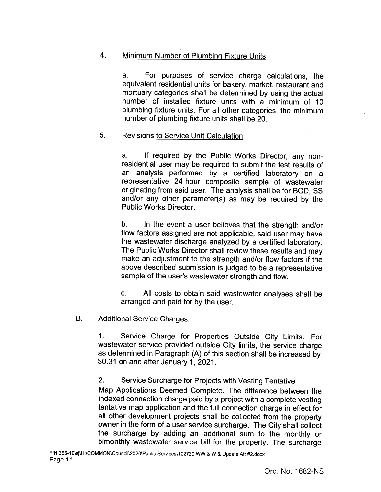## 4. Minimum Number of Plumbing Fixture Units

a. For purposes of service charge calculations, the equivalent residential units for bakery, market, restaurant and mortuary categories shall be determined by using the actual number of installed fixture units with a minimum of 10 plumbing fixture units. For all other categories, the minimum number of plumbing fixture units shall be 20.

### 5. Revisions to Service Unit Calculation

a. If required by the Public Works Director, any nonresidential user may be required to submit the test results of an analysis performed by <sup>a</sup> certified laboratory on <sup>a</sup> representative 24-hour composite sample of wastewater originating from said user. The analysis shall be for BOD, SS and/or any other parameter(s) as may be required by the Public Works Director.

b. In the event a user believes that the strength and/or flow factors assigned are not applicable, said user may have the wastewater discharge analyzed by a certified laboratory. The Public Works Director shall review these results and may make an adjustment to the strength and/or flow factors if the above described submission is judged to be a representative sample of the user's wastewater strength and flow.

c. All costs to obtain said wastewater analyses shall be arranged and paid for by the user.

### B. Additional Service Charges.

1. Service Charge for Properties Outside City Limits. For wastewater service provided outside City limits, the service charge as determined in Paragraph (A) of this section shall be increased by 0. 31 on and after January 1, 2021.

## 2. Service Surcharge for Projects with Vesting Tentative

Map Applications Deemed Complete. The difference between the indexed connection charge paid by a project with a complete vesting tentative map application and the full connection charge in effect for all other development projects shall be collected from the property owner in the form of <sup>a</sup> user service surcharge. The City shall collect the surcharge by adding an additional sum to the monthly or bimonthly wastewater service bill for the property. The surcharge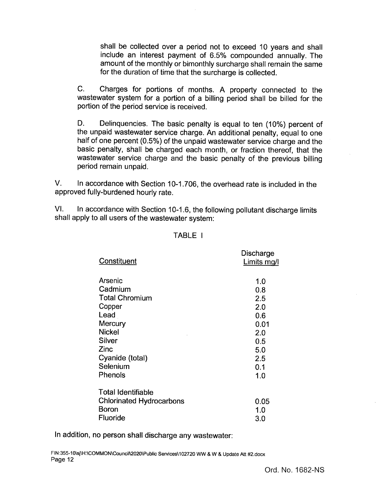shall be collected over a period not to exceed 10 years and shall include an interest payment of 6. 5% compounded annually. The amount of the monthly or bimonthly surcharge shall remain the same for the duration of time that the surcharge is collected.

C. Charges for portions of months. A property connected to the wastewater system for a portion of a billing period shall be billed for the portion of the period service is received.

D. Delinquencies. The basic penalty is equal to ten (10%) percent of the unpaid wastewater service charge. An additional penalty, equal to one half of one percent (0.5%) of the unpaid wastewater service charge and the basic penalty, shall be charged each month, or fraction thereof, that the wastewater service charge and the basic penalty of the previous billing period remain unpaid.

V. In accordance with Section 10-1.706, the overhead rate is included in the approved fully-burdened hourly rate.

VI. In accordance with Section 10-1.6, the following pollutant discharge limits shall apply to all users of the wastewater system:

| Constituent                     | www.er<br>Limits mg/l |
|---------------------------------|-----------------------|
| Arsenic                         | 1.0                   |
| Cadmium                         | 0.8                   |
| <b>Total Chromium</b>           | 2.5                   |
| Copper                          | 2.0                   |
| Lead                            | 0.6                   |
| Mercury                         | 0.01                  |
| <b>Nickel</b>                   | 2.0                   |
| Silver                          | 0.5                   |
| Zinc                            | 5.0                   |
| Cyanide (total)                 | 2.5                   |
| Selenium                        | 0.1                   |
| Phenols                         | 1.0                   |
| <b>Total Identifiable</b>       |                       |
| <b>Chlorinated Hydrocarbons</b> | 0.05                  |
| Boron                           | 1.0                   |
| Fluoride                        | 3.0                   |
|                                 |                       |

#### TABLE <sup>I</sup>

**Discharge** 

In addition, no person shall discharge any wastewater: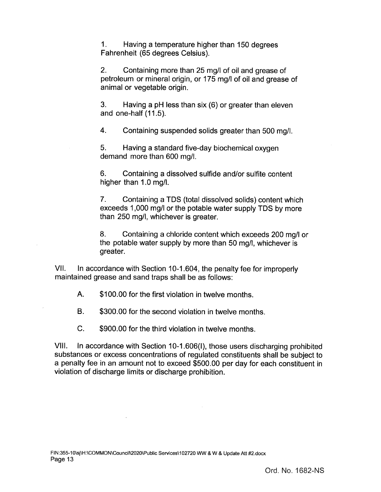1. Having a temperature higher than 150 degrees Fahrenheit (65 degrees Celsius).

2. Containing more than 25 mg/l of oil and grease of petroleum or mineral origin, or 175 mg/l of oil and grease of animal or vegetable origin.

3. Having a pH less than six (6) or greater than eleven and one-half  $(11.5)$ .

4. Containing suspended solids greater than 500 mg/l.

5. Having a standard five-day biochemical oxygen demand more than 600 mg/l.

6. Containing a dissolved sulfide and/or sulfite content higher than 1.0 mg/l.

7. Containing a TDS (total dissolved solids) content which exceeds 1,000 mg/l or the potable water supply TDS by more than 250 mg/l, whichever is greater.

8. Containing a chloride content which exceeds 200 mg/l or the potable water supply by more than 50 mg/l, whichever is greater.

VII. In accordance with Section 10-1.604, the penalty fee for improperly maintained grease and sand traps shall be as follows:

A. \$ 100.00 for the first violation in twelve months.

B. \$300.00 for the second violation in twelve months.

C. \$ 900.00 for the third violation in twelve months.

VIII. In accordance with Section 10- 1. 606(I), those users discharging prohibited substances or excess concentrations of regulated constituents shall be subject to a penalty fee in an amount not to exceed \$500.00 per day for each constituent in violation of discharge limits or discharge prohibition.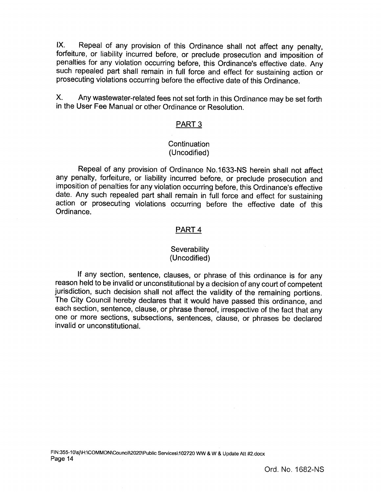IX. Repeal of any provision of this Ordinance shall not affect any penalty, forfeiture, or liability incurred before, or preclude prosecution and imposition of penalties for any violation occurring before, this Ordinance's effective date. Any such repealed part shall remain in full force and effect for sustaining action or prosecuting violations occurring before the effective date of this Ordinance.

X. Any wastewater-related fees not set forth in this Ordinance may be set forth in the User Fee Manual or other Ordinance or Resolution.

### PART 3

### **Continuation** Uncodified)

Repeal of any provision of Ordinance No. 1633- NS herein shall not affect any penalty, forfeiture, or liability incurred before, or preclude prosecution and imposition of penalties for any violation occurring before, this Ordinance's effective date. Any such repealed part shall remain in full force and effect for sustaining action or prosecuting violations occurring before the effective date of this Ordinance.

### PART 4

#### **Severability** Uncodified)

If any section, sentence, clauses, or phrase of this ordinance is for any reason held to be invalid or unconstitutional by a decision of any court of competent jurisdiction, such decision shall not affect the validity of the remaining portions. The City Council hereby declares that it would have passed this ordinance, and each section, sentence, clause, or phrase thereof, irrespective of the fact that any one or more sections, subsections, sentences, clause, or phrases be declared invalid or unconstitutional.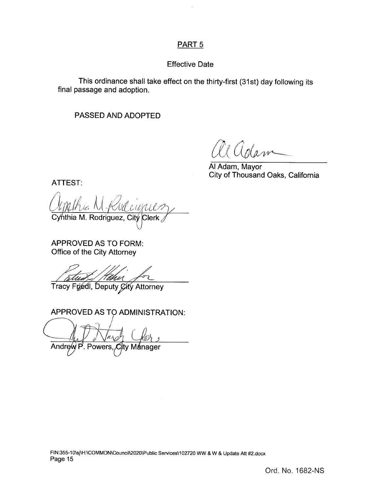# PART 5

# Effective Date

This ordinance shall take effect on the thirty-first (31st) day following its final passage and adoption.

# PASSED AND ADOPTED

r f  $W$ 

Al Adam, Mayor City of Thousand Oaks, California

ATTEST:

Ingthis N. Rud d'anni Cy⁄nthia M. Rodriguez, Citý 11 lerk

APPROVED AS TO FORM: Office of the City Attorney

 $\overline{\mathcal{P}}$ Tracy Friedl, Deputy Gity Attorney

APPROVED AS TO ADMINISTRATION:

Andrew P. Powers, City Manage Powers, City Manager